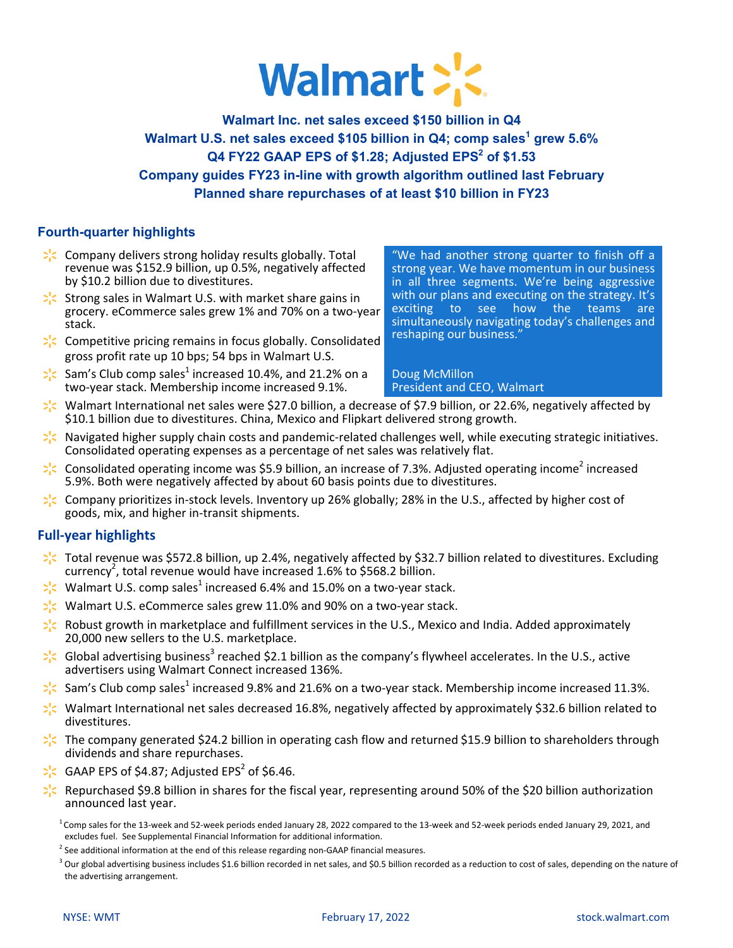

**Walmart Inc. net sales exceed \$150 billion in Q4 Walmart U.S. net sales exceed \$105 billion in Q4; comp sales<sup>1</sup> grew 5.6% Q4 FY22 GAAP EPS of \$1.28; Adjusted EPS<sup>2</sup> of \$1.53 Company guides FY23 in-line with growth algorithm outlined last February Planned share repurchases of at least \$10 billion in FY23**

## **Fourth-quarter highlights**

- $\frac{1}{2}$ . Company delivers strong holiday results globally. Total revenue was \$152.9 billion, up 0.5%, negatively affected by \$10.2 billion due to divestitures.
- $\frac{1}{2}$ Strong sales in Walmart U.S. with market share gains in grocery. eCommerce sales grew 1% and 70% on a two-year stack.
- $\frac{1}{2}$  Competitive pricing remains in focus globally. Consolidated gross profit rate up 10 bps; 54 bps in Walmart U.S.
- Sam's Club comp sales $^1$  increased 10.4%, and 21.2% on a two-year stack. Membership income increased 9.1%.

"We had another strong quarter to finish off a strong year. We have momentum in our business in all three segments. We're being aggressive with our plans and executing on the strategy. It's exciting to see how the teams are simultaneously navigating today's challenges and reshaping our business."

Doug McMillon President and CEO, Walmart

- $\frac{1}{6}$  Walmart International net sales were \$27.0 billion, a decrease of \$7.9 billion, or 22.6%, negatively affected by \$10.1 billion due to divestitures. China, Mexico and Flipkart delivered strong growth.
- $\mathcal{E}$  Navigated higher supply chain costs and pandemic-related challenges well, while executing strategic initiatives. Consolidated operating expenses as a percentage of net sales was relatively flat.
- Consolidated operating income was \$5.9 billion, an increase of 7.3%. Adjusted operating income<sup>2</sup> increased 5.9%. Both were negatively affected by about 60 basis points due to divestitures.
- **Company prioritizes in-stock levels. Inventory up 26% globally; 28% in the U.S., affected by higher cost of** goods, mix, and higher in-transit shipments.

### **Full-year highlights**

- Total revenue was \$572.8 billion, up 2.4%, negatively affected by \$32.7 billion related to divestitures. Excluding  $\frac{1}{2}$  currency<sup>2</sup>, total revenue would have increased 1.6% to \$568.2 billion.
- Walmart U.S. comp sales<sup>1</sup> increased 6.4% and 15.0% on a two-year stack.
- $\frac{1}{2}$  Walmart U.S. eCommerce sales grew 11.0% and 90% on a two-year stack.
- **Robust growth** in marketplace and fulfillment services in the U.S., Mexico and India. Added approximately 20,000 new sellers to the U.S. marketplace.
- Global advertising business<sup>3</sup> reached \$2.1 billion as the company's flywheel accelerates. In the U.S., active advertisers using Walmart Connect increased 136%.
- Sam's Club comp sales<sup>1</sup> increased 9.8% and 21.6% on a two-year stack. Membership income increased 11.3%.
- **V** Walmart International net sales decreased 16.8%, negatively affected by approximately \$32.6 billion related to divestitures.
- $\geq$  The company generated \$24.2 billion in operating cash flow and returned \$15.9 billion to shareholders through dividends and share repurchases.
- GAAP EPS of \$4.87; Adjusted EPS<sup>2</sup> of \$6.46.
- Repurchased \$9.8 billion in shares for the fiscal year, representing around 50% of the \$20 billion authorization announced last year.

 $1$ Comp sales for the 13-week and 52-week periods ended January 28, 2022 compared to the 13-week and 52-week periods ended January 29, 2021, and excludes fuel. See Supplemental Financial Information for additional information.

 $^2$  See additional information at the end of this release regarding non-GAAP financial measures.

 $^3$  Our global advertising business includes \$1.6 billion recorded in net sales, and \$0.5 billion recorded as a reduction to cost of sales, depending on the nature of the advertising arrangement.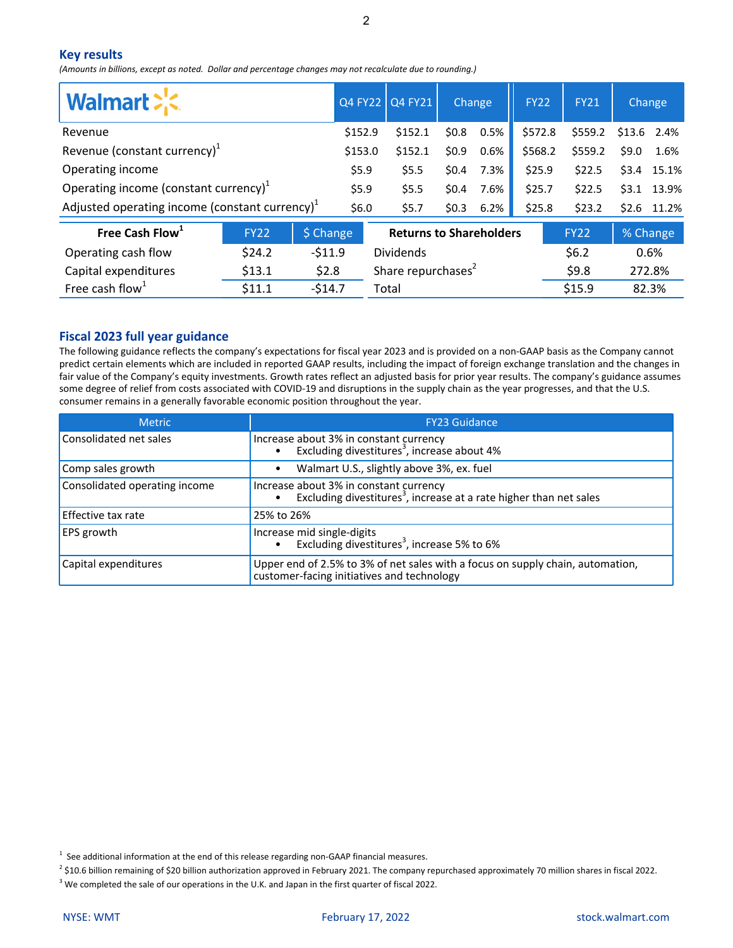### **Key results**

(Amounts in billions, except as noted. Dollar and percentage changes may not recalculate due to rounding.)

| <b>Walmart &gt;'&lt;</b>                          |         | Q4 FY22 Q4 FY21 | Change  |         | <b>FY22</b> | <b>FY21</b> |              | Change       |
|---------------------------------------------------|---------|-----------------|---------|---------|-------------|-------------|--------------|--------------|
| Revenue                                           | \$152.9 | \$152.1         | \$0.8\$ | 0.5%    | \$572.8     | \$559.2     | $$13.6$ 2.4% |              |
| Revenue (constant currency) <sup>1</sup>          | \$153.0 | \$152.1         | \$0.9   | $0.6\%$ | \$568.2     | \$559.2     | \$9.0        | 1.6%         |
| Operating income                                  | \$5.9   | \$5.5           | \$0.4\$ | 7.3%    | \$25.9      | \$22.5      |              | \$3.4 15.1%  |
| Operating income (constant currency) $1$          | \$5.9   | \$5.5           | \$0.4\$ | 7.6%    | \$25.7      | \$22.5      |              | \$3.1 13.9%  |
| Adjusted operating income (constant currency) $1$ | \$6.0   | \$5.7           | \$0.3\$ | 6.2%    | \$25.8      | \$23.2      |              | $$2.6$ 11.2% |

| Free Cash Flow <sup>1</sup> | <b>FY22</b> | $$$ Change | <b>Returns to Shareholders</b> | <b>FY22</b> | % Change |
|-----------------------------|-------------|------------|--------------------------------|-------------|----------|
| Operating cash flow         | \$24.2      | $-511.9$   | <b>Dividends</b>               | S6.2        | $0.6\%$  |
| Capital expenditures        | \$13.1      | \$2.8      | Share repurchases <sup>2</sup> | \$9.8       | 272.8%   |
| Free cash flow $^{\perp}$   | \$11.1      | -\$14.7    | Total                          | \$15.9      | 82.3%    |

### **Fiscal 2023 full year guidance**

The following guidance reflects the company's expectations for fiscal year 2023 and is provided on a non-GAAP basis as the Company cannot predict certain elements which are included in reported GAAP results, including the impact of foreign exchange translation and the changes in fair value of the Company's equity investments. Growth rates reflect an adjusted basis for prior year results. The company's guidance assumes some degree of relief from costs associated with COVID-19 and disruptions in the supply chain as the year progresses, and that the U.S. consumer remains in a generally favorable economic position throughout the year.

| <b>Metric</b>                 | <b>FY23 Guidance</b>                                                                                                         |
|-------------------------------|------------------------------------------------------------------------------------------------------------------------------|
| Consolidated net sales        | Increase about 3% in constant currency<br>• Excluding divestitures <sup>3</sup> , increase about 4%                          |
| Comp sales growth             | Walmart U.S., slightly above 3%, ex. fuel<br>$\bullet$                                                                       |
| Consolidated operating income | Increase about 3% in constant currency<br>• Excluding divestitures <sup>3</sup> , increase at a rate higher than net sales   |
| Effective tax rate            | 25% to 26%                                                                                                                   |
| EPS growth                    | Increase mid single-digits<br>Excluding divestitures <sup>3</sup> , increase 5% to 6%                                        |
| Capital expenditures          | Upper end of 2.5% to 3% of net sales with a focus on supply chain, automation,<br>customer-facing initiatives and technology |

 $<sup>1</sup>$  See additional information at the end of this release regarding non-GAAP financial measures.</sup>

 $^2$  \$10.6 billion remaining of \$20 billion authorization approved in February 2021. The company repurchased approximately 70 million shares in fiscal 2022.

 $3$  We completed the sale of our operations in the U.K. and Japan in the first quarter of fiscal 2022.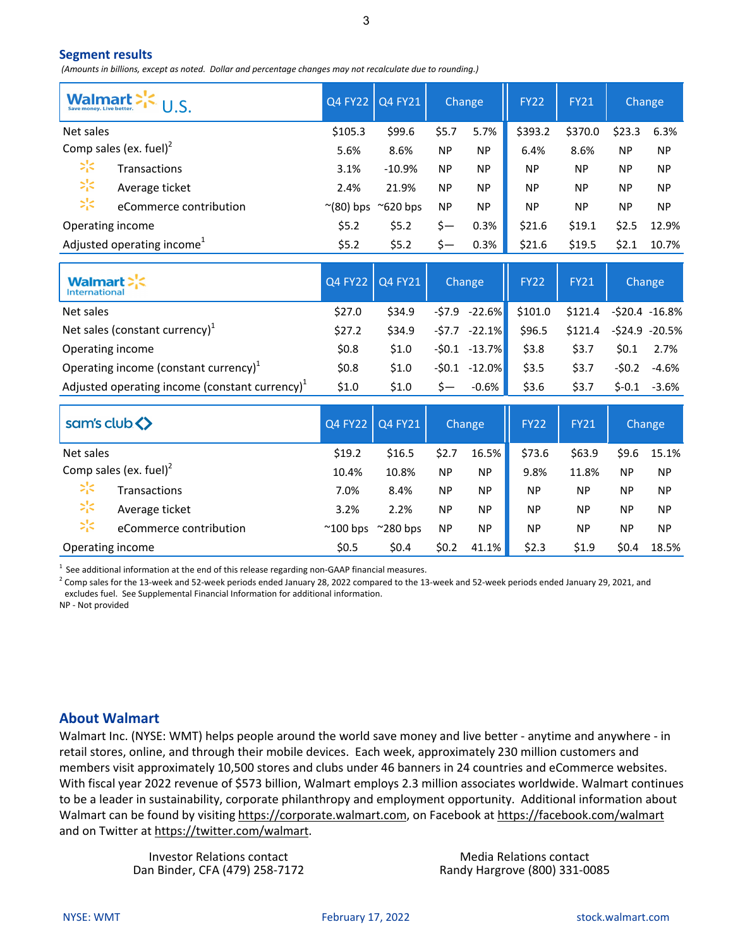#### **Segment results**

 *(Amounts in billions, except as noted. Dollar and percentage changes may not recalculate due to rounding.)*

| <b>Walmart</b><br>U.S.<br>Save money. Live better. | <b>Q4 FY22</b>     | Q4 FY21          |           | Change          | <b>FY22</b> | <b>FY21</b> | Change    |                  |
|----------------------------------------------------|--------------------|------------------|-----------|-----------------|-------------|-------------|-----------|------------------|
| Net sales                                          | \$105.3            | \$99.6           | \$5.7     | 5.7%            | \$393.2     | \$370.0     | \$23.3    | 6.3%             |
| Comp sales (ex. fuel) <sup>2</sup>                 | 5.6%               | 8.6%             | <b>NP</b> | <b>NP</b>       | 6.4%        | 8.6%        | <b>NP</b> | NP               |
| $\gtrsim_{i}^{1} \lesssim$<br>Transactions         | 3.1%               | $-10.9%$         | <b>NP</b> | <b>NP</b>       | <b>NP</b>   | <b>NP</b>   | <b>NP</b> | <b>NP</b>        |
| $\gtrsim$<br>Average ticket                        | 2.4%               | 21.9%            | <b>NP</b> | <b>NP</b>       | <b>NP</b>   | <b>NP</b>   | <b>NP</b> | <b>NP</b>        |
| $\gtrsim$<br>eCommerce contribution                | $^{\sim}$ (80) bps | $^{\sim}620$ bps | <b>NP</b> | <b>NP</b>       | <b>NP</b>   | <b>NP</b>   | <b>NP</b> | <b>NP</b>        |
| Operating income                                   | \$5.2              | \$5.2            | $\zeta-$  | 0.3%            | \$21.6      | \$19.1      | \$2.5     | 12.9%            |
| Adjusted operating income <sup>1</sup>             | \$5.2              | \$5.2            | \$—       | 0.3%            | \$21.6      | \$19.5      | \$2.1     | 10.7%            |
| <b>Walmart</b><br>International                    | <b>Q4 FY22</b>     | Q4 FY21          |           | Change          | <b>FY22</b> | <b>FY21</b> | Change    |                  |
| Net sales                                          | \$27.0             | \$34.9           |           | $-57.9 -22.6%$  | \$101.0     | \$121.4     |           | $-520.4 - 16.8%$ |
| Net sales (constant currency) $1$                  | \$27.2             | \$34.9           |           | $-57.7 -22.1\%$ | \$96.5      | \$121.4     |           | $-524.9 -20.5%$  |
| Operating income                                   | \$0.8\$            | \$1.0            |           | $-50.1 - 13.7%$ | \$3.8       | \$3.7       | \$0.1     | 2.7%             |
| Operating income (constant currency) $1$           | \$0.8\$            | \$1.0            |           | $-50.1 -12.0\%$ | \$3.5       | \$3.7       | $-50.2$   | $-4.6%$          |
| Adjusted operating income (constant currency) $1$  | \$1.0              | \$1.0            | \$—       | $-0.6%$         | \$3.6       | \$3.7       | $$-0.1$   | $-3.6%$          |
| sam's club <>                                      | <b>Q4 FY22</b>     | Q4 FY21          |           | Change          | <b>FY22</b> | <b>FY21</b> |           | Change           |
| Net sales                                          | \$19.2             | \$16.5           | \$2.7     | 16.5%           | \$73.6      | \$63.9      | \$9.6     | 15.1%            |
| Comp sales (ex. fuel) <sup>2</sup>                 | 10.4%              | 10.8%            | <b>NP</b> | <b>NP</b>       | 9.8%        | 11.8%       | <b>NP</b> | <b>NP</b>        |
| ☆<br>Transactions                                  | 7.0%               | 8.4%             | <b>NP</b> | <b>NP</b>       | <b>NP</b>   | <b>NP</b>   | <b>NP</b> | <b>NP</b>        |
| $\gtrsim$<br>Average ticket                        | 3.2%               | 2.2%             | <b>NP</b> | <b>NP</b>       | <b>NP</b>   | <b>NP</b>   | <b>NP</b> | <b>NP</b>        |
| $\gtrsim$<br>eCommerce contribution                | $^{\sim}$ 100 bps  | $~\sim$ 280 bps  | <b>NP</b> | <b>NP</b>       | <b>NP</b>   | <b>NP</b>   | <b>NP</b> | <b>NP</b>        |
| Operating income                                   | \$0.5              | \$0.4            | \$0.2\$   | 41.1%           | \$2.3       | \$1.9       | \$0.4\$   | 18.5%            |

 $<sup>1</sup>$  See additional information at the end of this release regarding non-GAAP financial measures.</sup>

 $^2$  Comp sales for the 13-week and 52-week periods ended January 28, 2022 compared to the 13-week and 52-week periods ended January 29, 2021, and excludes fuel. See Supplemental Financial Information for additional information.

NP - Not provided

### **About Walmart**

Walmart Inc. (NYSE: WMT) helps people around the world save money and live better - anytime and anywhere - in retail stores, online, and through their mobile devices. Each week, approximately 230 million customers and members visit approximately 10,500 stores and clubs under 46 banners in 24 countries and eCommerce websites. With fiscal year 2022 revenue of \$573 billion, Walmart employs 2.3 million associates worldwide. Walmart continues to be a leader in sustainability, corporate philanthropy and employment opportunity. Additional information about Walmart can be found by visiting https://corporate.walmart.com, on Facebook at https://facebook.com/walmart and on Twitter at https://twitter.com/walmart.

> Investor Relations contact Dan Binder, CFA (479) 258-7172

Media Relations contact Randy Hargrove (800) 331-0085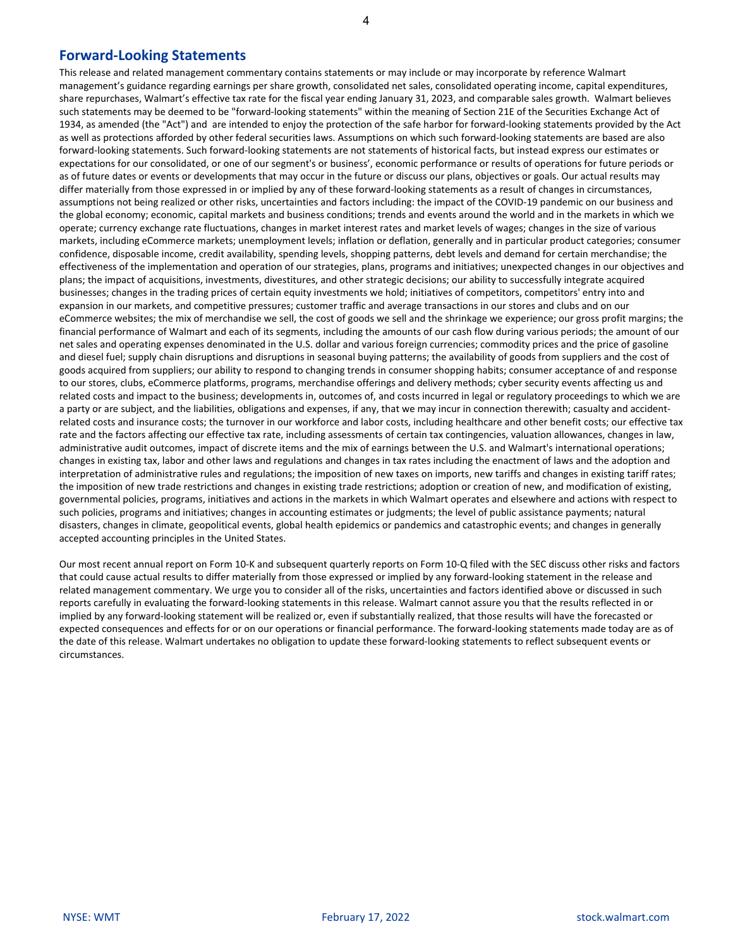## **Forward-Looking Statements**

This release and related management commentary contains statements or may include or may incorporate by reference Walmart management's guidance regarding earnings per share growth, consolidated net sales, consolidated operating income, capital expenditures, share repurchases, Walmart's effective tax rate for the fiscal year ending January 31, 2023, and comparable sales growth. Walmart believes such statements may be deemed to be "forward-looking statements" within the meaning of Section 21E of the Securities Exchange Act of 1934, as amended (the "Act") and are intended to enjoy the protection of the safe harbor for forward-looking statements provided by the Act as well as protections afforded by other federal securities laws. Assumptions on which such forward-looking statements are based are also forward-looking statements. Such forward-looking statements are not statements of historical facts, but instead express our estimates or expectations for our consolidated, or one of our segment's or business', economic performance or results of operations for future periods or as of future dates or events or developments that may occur in the future or discuss our plans, objectives or goals. Our actual results may differ materially from those expressed in or implied by any of these forward-looking statements as a result of changes in circumstances, assumptions not being realized or other risks, uncertainties and factors including: the impact of the COVID-19 pandemic on our business and the global economy; economic, capital markets and business conditions; trends and events around the world and in the markets in which we operate; currency exchange rate fluctuations, changes in market interest rates and market levels of wages; changes in the size of various markets, including eCommerce markets; unemployment levels; inflation or deflation, generally and in particular product categories; consumer confidence, disposable income, credit availability, spending levels, shopping patterns, debt levels and demand for certain merchandise; the effectiveness of the implementation and operation of our strategies, plans, programs and initiatives; unexpected changes in our objectives and plans; the impact of acquisitions, investments, divestitures, and other strategic decisions; our ability to successfully integrate acquired businesses; changes in the trading prices of certain equity investments we hold; initiatives of competitors, competitors' entry into and expansion in our markets, and competitive pressures; customer traffic and average transactions in our stores and clubs and on our eCommerce websites; the mix of merchandise we sell, the cost of goods we sell and the shrinkage we experience; our gross profit margins; the financial performance of Walmart and each of its segments, including the amounts of our cash flow during various periods; the amount of our net sales and operating expenses denominated in the U.S. dollar and various foreign currencies; commodity prices and the price of gasoline and diesel fuel; supply chain disruptions and disruptions in seasonal buying patterns; the availability of goods from suppliers and the cost of goods acquired from suppliers; our ability to respond to changing trends in consumer shopping habits; consumer acceptance of and response to our stores, clubs, eCommerce platforms, programs, merchandise offerings and delivery methods; cyber security events affecting us and related costs and impact to the business; developments in, outcomes of, and costs incurred in legal or regulatory proceedings to which we are a party or are subject, and the liabilities, obligations and expenses, if any, that we may incur in connection therewith; casualty and accidentrelated costs and insurance costs; the turnover in our workforce and labor costs, including healthcare and other benefit costs; our effective tax rate and the factors affecting our effective tax rate, including assessments of certain tax contingencies, valuation allowances, changes in law, administrative audit outcomes, impact of discrete items and the mix of earnings between the U.S. and Walmart's international operations; changes in existing tax, labor and other laws and regulations and changes in tax rates including the enactment of laws and the adoption and interpretation of administrative rules and regulations; the imposition of new taxes on imports, new tariffs and changes in existing tariff rates; the imposition of new trade restrictions and changes in existing trade restrictions; adoption or creation of new, and modification of existing, governmental policies, programs, initiatives and actions in the markets in which Walmart operates and elsewhere and actions with respect to such policies, programs and initiatives; changes in accounting estimates or judgments; the level of public assistance payments; natural disasters, changes in climate, geopolitical events, global health epidemics or pandemics and catastrophic events; and changes in generally accepted accounting principles in the United States.

Our most recent annual report on Form 10-K and subsequent quarterly reports on Form 10-Q filed with the SEC discuss other risks and factors that could cause actual results to differ materially from those expressed or implied by any forward-looking statement in the release and related management commentary. We urge you to consider all of the risks, uncertainties and factors identified above or discussed in such reports carefully in evaluating the forward-looking statements in this release. Walmart cannot assure you that the results reflected in or implied by any forward-looking statement will be realized or, even if substantially realized, that those results will have the forecasted or expected consequences and effects for or on our operations or financial performance. The forward-looking statements made today are as of the date of this release. Walmart undertakes no obligation to update these forward-looking statements to reflect subsequent events or circumstances.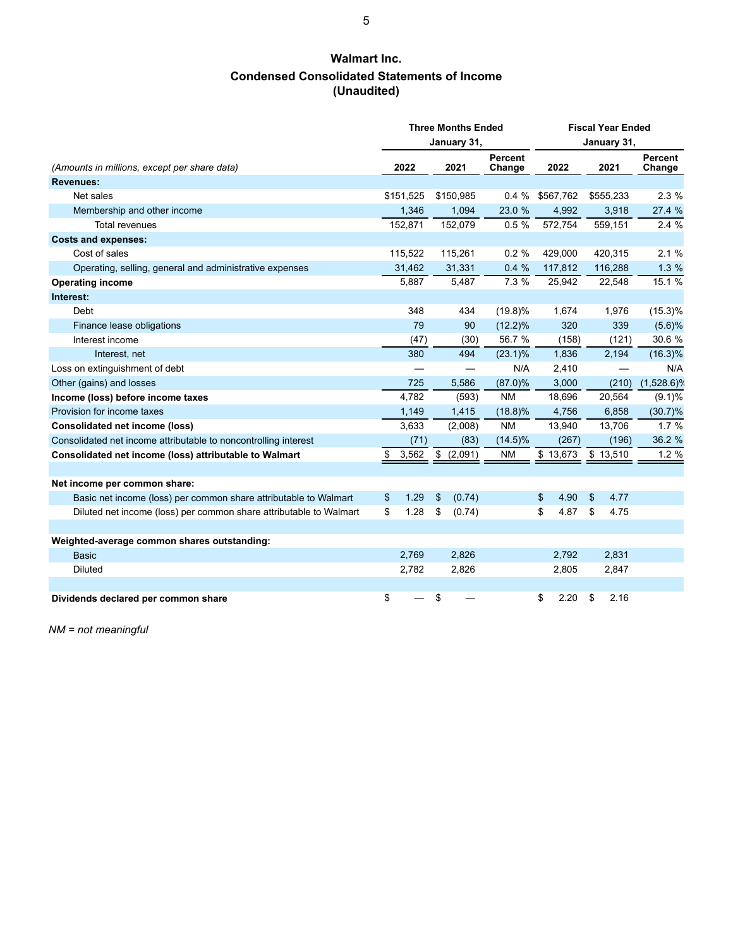# **Walmart Inc. Condensed Consolidated Statements of Income (Unaudited)**

|                                                                    |             | <b>Three Months Ended</b> |                          | <b>Fiscal Year Ended</b> |             |                   |
|--------------------------------------------------------------------|-------------|---------------------------|--------------------------|--------------------------|-------------|-------------------|
|                                                                    |             | January 31,               |                          |                          | January 31, |                   |
| (Amounts in millions, except per share data)                       | 2022        | 2021                      | <b>Percent</b><br>Change | 2022                     | 2021        | Percent<br>Change |
| <b>Revenues:</b>                                                   |             |                           |                          |                          |             |                   |
| Net sales                                                          | \$151,525   | \$150,985                 | $0.4 \%$                 | \$567,762                | \$555,233   | 2.3%              |
| Membership and other income                                        | 1,346       | 1,094                     | 23.0 %                   | 4,992                    | 3,918       | 27.4 %            |
| <b>Total revenues</b>                                              | 152,871     | 152,079                   | 0.5%                     | 572,754                  | 559,151     | 2.4%              |
| <b>Costs and expenses:</b>                                         |             |                           |                          |                          |             |                   |
| Cost of sales                                                      | 115,522     | 115,261                   | 0.2%                     | 429,000                  | 420,315     | 2.1%              |
| Operating, selling, general and administrative expenses            | 31,462      | 31,331                    | 0.4%                     | 117,812                  | 116,288     | 1.3%              |
| <b>Operating income</b>                                            | 5,887       | 5,487                     | 7.3%                     | 25,942                   | 22,548      | 15.1 %            |
| Interest:                                                          |             |                           |                          |                          |             |                   |
| Debt                                                               | 348         | 434                       | $(19.8)\%$               | 1,674                    | 1,976       | $(15.3)\%$        |
| Finance lease obligations                                          | 79          | 90                        | $(12.2)\%$               | 320                      | 339         | (5.6)%            |
| Interest income                                                    | (47)        | (30)                      | 56.7 %                   | (158)                    | (121)       | 30.6 %            |
| Interest, net                                                      | 380         | 494                       | $(23.1)\%$               | 1,836                    | 2,194       | $(16.3)\%$        |
| Loss on extinguishment of debt                                     |             |                           | N/A                      | 2,410                    |             | N/A               |
| Other (gains) and losses                                           | 725         | 5,586                     | $(87.0)\%$               | 3,000                    | (210)       | $(1,528.6)\%$     |
| Income (loss) before income taxes                                  | 4,782       | (593)                     | <b>NM</b>                | 18,696                   | 20,564      | $(9.1)\%$         |
| Provision for income taxes                                         | 1,149       | 1,415                     | $(18.8)\%$               | 4,756                    | 6,858       | $(30.7)\%$        |
| <b>Consolidated net income (loss)</b>                              | 3,633       | (2,008)                   | <b>NM</b>                | 13,940                   | 13,706      | 1.7%              |
| Consolidated net income attributable to noncontrolling interest    | (71)        | (83)                      | $(14.5)\%$               | (267)                    | (196)       | 36.2 %            |
| Consolidated net income (loss) attributable to Walmart             | \$<br>3,562 | $\sqrt[6]{3}$<br>(2,091)  | <b>NM</b>                | \$13,673                 | \$13,510    | 1.2%              |
|                                                                    |             |                           |                          |                          |             |                   |
| Net income per common share:                                       |             |                           |                          |                          |             |                   |
| Basic net income (loss) per common share attributable to Walmart   | 1.29<br>\$  | \$<br>(0.74)              |                          | 4.90<br>\$               | \$<br>4.77  |                   |
| Diluted net income (loss) per common share attributable to Walmart | 1.28<br>\$  | \$<br>(0.74)              |                          | \$<br>4.87               | \$<br>4.75  |                   |
|                                                                    |             |                           |                          |                          |             |                   |
| Weighted-average common shares outstanding:                        |             |                           |                          |                          |             |                   |
| <b>Basic</b>                                                       | 2,769       | 2,826                     |                          | 2,792                    | 2,831       |                   |
| <b>Diluted</b>                                                     | 2,782       | 2,826                     |                          | 2,805                    | 2,847       |                   |
|                                                                    |             |                           |                          |                          |             |                   |
| Dividends declared per common share                                | \$          | \$                        |                          | 2.20<br>\$               | 2.16<br>\$  |                   |

*NM = not meaningful*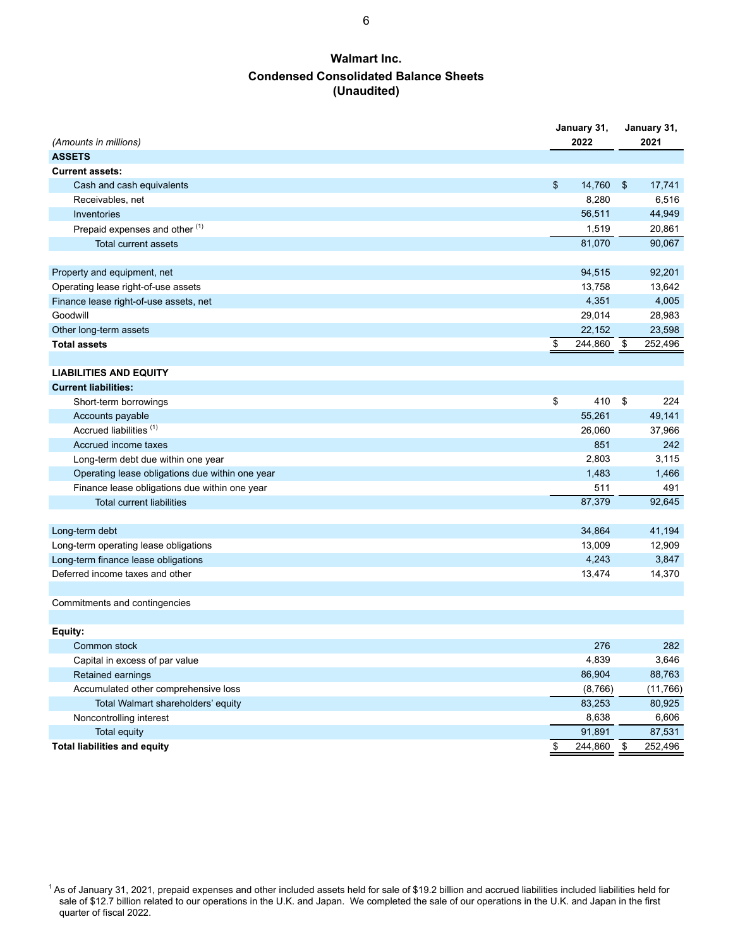# **Walmart Inc. Condensed Consolidated Balance Sheets (Unaudited)**

|                                                 |                | January 31, |               | January 31, |
|-------------------------------------------------|----------------|-------------|---------------|-------------|
| (Amounts in millions)                           |                | 2022        |               | 2021        |
| <b>ASSETS</b>                                   |                |             |               |             |
| <b>Current assets:</b>                          |                |             |               |             |
| Cash and cash equivalents                       | $\mathfrak{S}$ | 14,760      | $\sqrt[6]{3}$ | 17,741      |
| Receivables, net                                |                | 8,280       |               | 6,516       |
| Inventories                                     |                | 56,511      |               | 44,949      |
| Prepaid expenses and other (1)                  |                | 1,519       |               | 20,861      |
| Total current assets                            |                | 81,070      |               | 90,067      |
|                                                 |                |             |               |             |
| Property and equipment, net                     |                | 94,515      |               | 92,201      |
| Operating lease right-of-use assets             |                | 13,758      |               | 13,642      |
| Finance lease right-of-use assets, net          |                | 4,351       |               | 4,005       |
| Goodwill                                        |                | 29,014      |               | 28,983      |
| Other long-term assets                          |                | 22,152      |               | 23,598      |
| <b>Total assets</b>                             | \$             | 244,860     | \$            | 252,496     |
|                                                 |                |             |               |             |
| <b>LIABILITIES AND EQUITY</b>                   |                |             |               |             |
| <b>Current liabilities:</b>                     |                |             |               |             |
| Short-term borrowings                           | \$             | 410         | \$            | 224         |
| Accounts payable                                |                | 55,261      |               | 49,141      |
| Accrued liabilities <sup>(1)</sup>              |                | 26,060      |               | 37,966      |
| Accrued income taxes                            |                | 851         |               | 242         |
| Long-term debt due within one year              |                | 2,803       |               | 3,115       |
| Operating lease obligations due within one year |                | 1,483       |               | 1,466       |
| Finance lease obligations due within one year   |                | 511         |               | 491         |
| <b>Total current liabilities</b>                |                | 87,379      |               | 92,645      |
|                                                 |                |             |               |             |
| Long-term debt                                  |                | 34,864      |               | 41,194      |
| Long-term operating lease obligations           |                | 13,009      |               | 12,909      |
| Long-term finance lease obligations             |                | 4,243       |               | 3,847       |
| Deferred income taxes and other                 |                | 13,474      |               | 14,370      |
|                                                 |                |             |               |             |
| Commitments and contingencies                   |                |             |               |             |
|                                                 |                |             |               |             |
| Equity:                                         |                |             |               |             |
| Common stock                                    |                | 276         |               | 282         |
| Capital in excess of par value                  |                | 4,839       |               | 3,646       |
| <b>Retained earnings</b>                        |                | 86,904      |               | 88,763      |
| Accumulated other comprehensive loss            |                | (8,766)     |               | (11, 766)   |
| Total Walmart shareholders' equity              |                | 83,253      |               | 80,925      |
| Noncontrolling interest                         |                | 8,638       |               | 6,606       |
| Total equity                                    |                | 91,891      |               | 87,531      |
| <b>Total liabilities and equity</b>             | \$             | 244,860     | \$            | 252,496     |

 $^1$  As of January 31, 2021, prepaid expenses and other included assets held for sale of \$19.2 billion and accrued liabilities included liabilities held for sale of \$12.7 billion related to our operations in the U.K. and Japan. We completed the sale of our operations in the U.K. and Japan in the first quarter of fiscal 2022.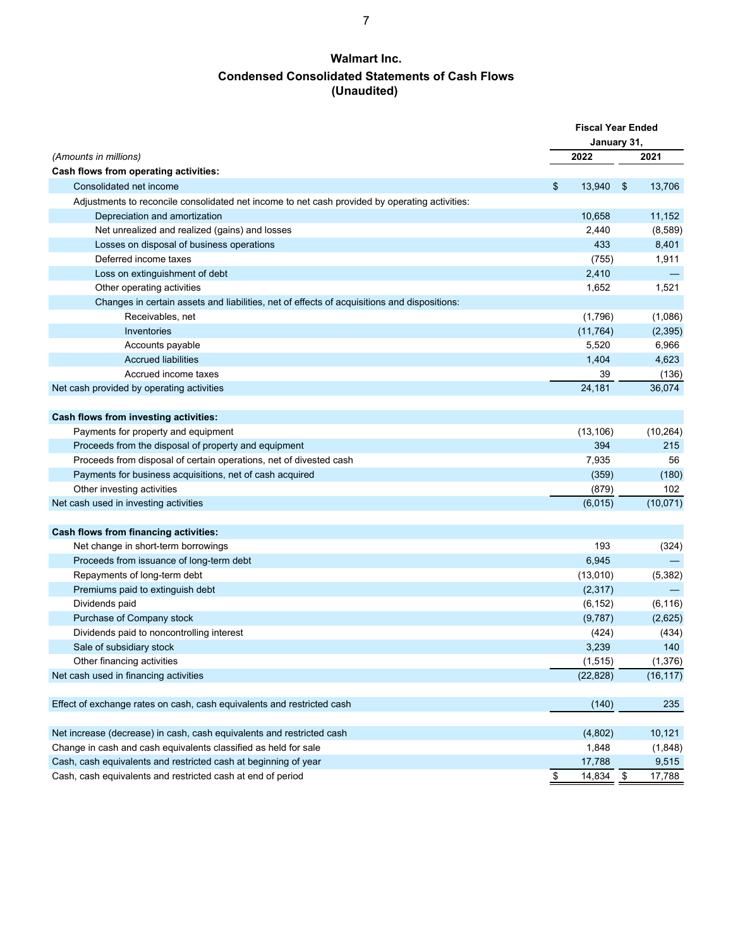# **Walmart Inc. Condensed Consolidated Statements of Cash Flows (Unaudited)**

|                                                                                                | <b>Fiscal Year Ended</b> |      |           |
|------------------------------------------------------------------------------------------------|--------------------------|------|-----------|
|                                                                                                | January 31,              |      |           |
| (Amounts in millions)                                                                          | 2022                     |      | 2021      |
| Cash flows from operating activities:                                                          |                          |      |           |
| Consolidated net income                                                                        | \$<br>13,940             | - \$ | 13,706    |
| Adjustments to reconcile consolidated net income to net cash provided by operating activities: |                          |      |           |
| Depreciation and amortization                                                                  | 10,658                   |      | 11,152    |
| Net unrealized and realized (gains) and losses                                                 | 2,440                    |      | (8,589)   |
| Losses on disposal of business operations                                                      | 433                      |      | 8,401     |
| Deferred income taxes                                                                          | (755)                    |      | 1,911     |
| Loss on extinguishment of debt                                                                 | 2,410                    |      |           |
| Other operating activities                                                                     | 1,652                    |      | 1,521     |
| Changes in certain assets and liabilities, net of effects of acquisitions and dispositions:    |                          |      |           |
| Receivables, net                                                                               | (1,796)                  |      | (1,086)   |
| Inventories                                                                                    | (11, 764)                |      | (2,395)   |
| Accounts payable                                                                               | 5,520                    |      | 6,966     |
| <b>Accrued liabilities</b>                                                                     | 1,404                    |      | 4,623     |
| Accrued income taxes                                                                           | 39                       |      | (136)     |
| Net cash provided by operating activities                                                      | 24,181                   |      | 36,074    |
|                                                                                                |                          |      |           |
| Cash flows from investing activities:                                                          |                          |      |           |
| Payments for property and equipment                                                            | (13, 106)                |      | (10, 264) |
| Proceeds from the disposal of property and equipment                                           | 394                      |      | 215       |
| Proceeds from disposal of certain operations, net of divested cash                             | 7,935                    |      | 56        |
| Payments for business acquisitions, net of cash acquired                                       | (359)                    |      | (180)     |
| Other investing activities                                                                     | (879)                    |      | 102       |
| Net cash used in investing activities                                                          | (6,015)                  |      | (10,071)  |
|                                                                                                |                          |      |           |
| Cash flows from financing activities:                                                          |                          |      |           |
| Net change in short-term borrowings                                                            | 193                      |      | (324)     |
| Proceeds from issuance of long-term debt                                                       | 6,945                    |      |           |
| Repayments of long-term debt                                                                   | (13,010)                 |      | (5, 382)  |
| Premiums paid to extinguish debt                                                               | (2, 317)                 |      |           |
| Dividends paid                                                                                 | (6, 152)                 |      | (6, 116)  |
| Purchase of Company stock                                                                      | (9,787)                  |      | (2,625)   |
| Dividends paid to noncontrolling interest                                                      | (424)                    |      | (434)     |
| Sale of subsidiary stock                                                                       | 3,239                    |      | 140       |
| Other financing activities                                                                     | (1, 515)                 |      | (1,376)   |
| Net cash used in financing activities                                                          | (22, 828)                |      | (16, 117) |
|                                                                                                |                          |      |           |
| Effect of exchange rates on cash, cash equivalents and restricted cash                         | (140)                    |      | 235       |
|                                                                                                |                          |      |           |
| Net increase (decrease) in cash, cash equivalents and restricted cash                          | (4,802)                  |      | 10,121    |
| Change in cash and cash equivalents classified as held for sale                                | 1,848                    |      | (1,848)   |
| Cash, cash equivalents and restricted cash at beginning of year                                | 17,788                   |      | 9,515     |
| Cash, cash equivalents and restricted cash at end of period                                    | \$<br>14,834 \$          |      | 17,788    |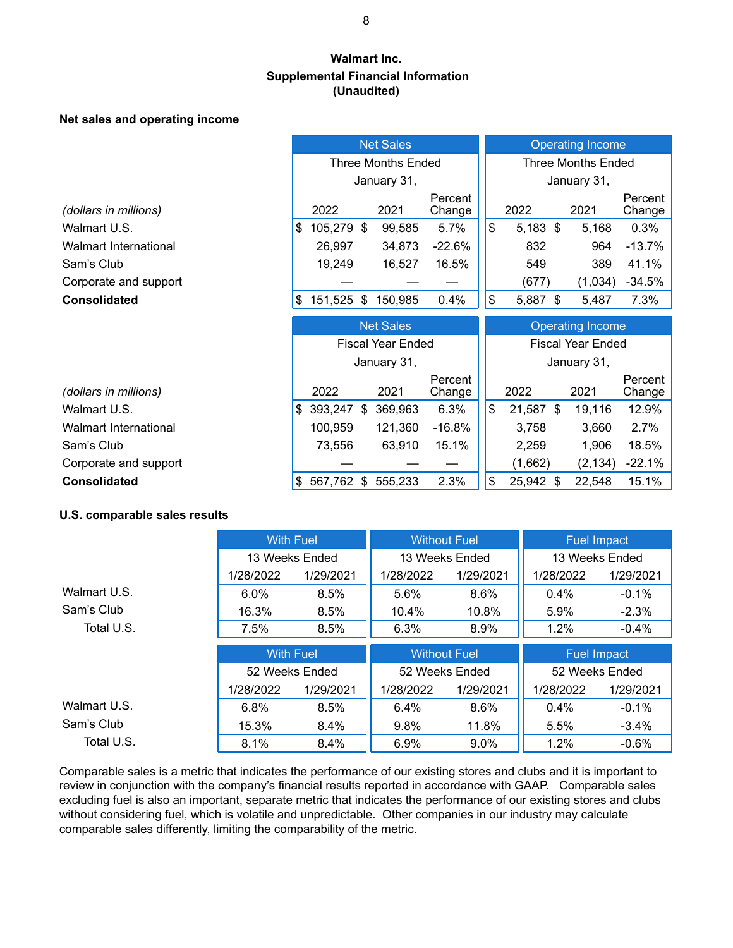# **Walmart Inc. Supplemental Financial Information (Unaudited)**

### **Net sales and operating income**

|                              |                  |         |    | <b>Net Sales</b>          |                   | <b>Operating Income</b> |             |  |                           |                   |  |  |
|------------------------------|------------------|---------|----|---------------------------|-------------------|-------------------------|-------------|--|---------------------------|-------------------|--|--|
|                              |                  |         |    | <b>Three Months Ended</b> |                   |                         |             |  | <b>Three Months Ended</b> |                   |  |  |
|                              |                  |         |    | January 31,               |                   |                         | January 31, |  |                           |                   |  |  |
| (dollars in millions)        |                  | 2022    |    | 2021                      | Percent<br>Change |                         | 2022        |  | 2021                      | Percent<br>Change |  |  |
| Walmart U.S.                 | \$               | 105,279 | \$ | 99,585                    | 5.7%              | $\mathsf{\$}$           | $5,183$ \$  |  | 5,168                     | 0.3%              |  |  |
| <b>Walmart International</b> |                  | 26,997  |    | 34,873                    | $-22.6%$          |                         | 832         |  | 964                       | $-13.7%$          |  |  |
| Sam's Club                   |                  | 19,249  |    | 16,527                    | 16.5%             |                         | 549         |  | 389                       | 41.1%             |  |  |
| Corporate and support        |                  |         |    |                           |                   |                         | (677)       |  | (1,034)                   | $-34.5%$          |  |  |
| <b>Consolidated</b>          | \$               | 151,525 | \$ | 150,985                   | 0.4%              | $\mathbb{S}$            | 5,887 \$    |  | 5,487                     | 7.3%              |  |  |
|                              | <b>Net Sales</b> |         |    |                           |                   |                         |             |  |                           |                   |  |  |
|                              |                  |         |    |                           |                   |                         |             |  | <b>Operating Income</b>   |                   |  |  |
|                              |                  |         |    | <b>Fiscal Year Ended</b>  |                   |                         |             |  | <b>Fiscal Year Ended</b>  |                   |  |  |
|                              |                  |         |    | January 31,               |                   |                         |             |  | January 31,               |                   |  |  |
| (dollars in millions)        |                  | 2022    |    | 2021                      | Percent<br>Change |                         | 2022        |  | 2021                      | Percent<br>Change |  |  |
| Walmart U.S.                 | \$               | 393,247 | \$ | 369,963                   | 6.3%              | \$                      | 21,587 \$   |  | 19,116                    | 12.9%             |  |  |
| <b>Walmart International</b> |                  | 100,959 |    | 121,360                   | $-16.8%$          |                         | 3,758       |  | 3,660                     | 2.7%              |  |  |
| Sam's Club                   |                  | 73,556  |    | 63,910                    | 15.1%             |                         | 2,259       |  | 1,906                     | 18.5%             |  |  |
| Corporate and support        |                  |         |    |                           |                   |                         | (1,662)     |  | (2, 134)                  | $-22.1%$          |  |  |

#### **U.S. comparable sales results**

|              | <b>With Fuel</b> |           | <b>Without Fuel</b> |                | <b>Fuel Impact</b> |                    |  |  |  |
|--------------|------------------|-----------|---------------------|----------------|--------------------|--------------------|--|--|--|
|              | 13 Weeks Ended   |           |                     | 13 Weeks Ended | 13 Weeks Ended     |                    |  |  |  |
|              | 1/28/2022        | 1/29/2021 | 1/28/2022           | 1/29/2021      | 1/28/2022          | 1/29/2021          |  |  |  |
| Walmart U.S. | $6.0\%$          | 8.5%      | 5.6%                | 8.6%           | $0.4\%$            | $-0.1%$            |  |  |  |
| Sam's Club   | 16.3%            | 8.5%      | $10.4\%$            | 10.8%          | 5.9%               | $-2.3\%$           |  |  |  |
| Total U.S.   | 7.5%             | 8.5%      | 6.3%                | 8.9%           | 1.2%               | $-0.4%$            |  |  |  |
|              | <b>With Fuel</b> |           |                     |                |                    |                    |  |  |  |
|              |                  |           | <b>Without Fuel</b> |                |                    | <b>Fuel Impact</b> |  |  |  |
|              | 52 Weeks Ended   |           | 52 Weeks Ended      |                | 52 Weeks Ended     |                    |  |  |  |
|              | 1/28/2022        | 1/29/2021 | 1/28/2022           | 1/29/2021      | 1/28/2022          | 1/29/2021          |  |  |  |
| Walmart U.S. | 6.8%             | 8.5%      | $6.4\%$             | 8.6%           | $0.4\%$            | $-0.1\%$           |  |  |  |
| Sam's Club   | 15.3%            | 8.4%      | 9.8%                | 11.8%          | 5.5%               | $-3.4\%$           |  |  |  |

Comparable sales is a metric that indicates the performance of our existing stores and clubs and it is important to review in conjunction with the company's financial results reported in accordance with GAAP. Comparable sales excluding fuel is also an important, separate metric that indicates the performance of our existing stores and clubs without considering fuel, which is volatile and unpredictable. Other companies in our industry may calculate comparable sales differently, limiting the comparability of the metric.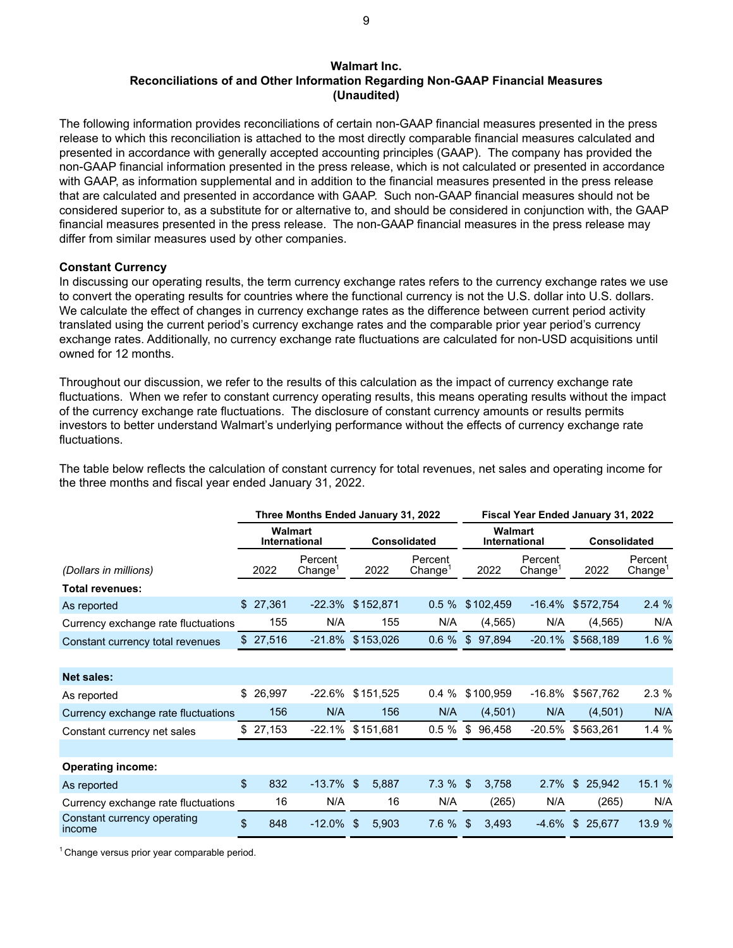#### **Walmart Inc. Reconciliations of and Other Information Regarding Non-GAAP Financial Measures (Unaudited)**

The following information provides reconciliations of certain non-GAAP financial measures presented in the press release to which this reconciliation is attached to the most directly comparable financial measures calculated and presented in accordance with generally accepted accounting principles (GAAP). The company has provided the non-GAAP financial information presented in the press release, which is not calculated or presented in accordance with GAAP, as information supplemental and in addition to the financial measures presented in the press release that are calculated and presented in accordance with GAAP. Such non-GAAP financial measures should not be considered superior to, as a substitute for or alternative to, and should be considered in conjunction with, the GAAP financial measures presented in the press release. The non-GAAP financial measures in the press release may differ from similar measures used by other companies.

#### **Constant Currency**

In discussing our operating results, the term currency exchange rates refers to the currency exchange rates we use to convert the operating results for countries where the functional currency is not the U.S. dollar into U.S. dollars. We calculate the effect of changes in currency exchange rates as the difference between current period activity translated using the current period's currency exchange rates and the comparable prior year period's currency exchange rates. Additionally, no currency exchange rate fluctuations are calculated for non-USD acquisitions until owned for 12 months.

Throughout our discussion, we refer to the results of this calculation as the impact of currency exchange rate fluctuations. When we refer to constant currency operating results, this means operating results without the impact of the currency exchange rate fluctuations. The disclosure of constant currency amounts or results permits investors to better understand Walmart's underlying performance without the effects of currency exchange rate fluctuations.

The table below reflects the calculation of constant currency for total revenues, net sales and operating income for the three months and fiscal year ended January 31, 2022.

|                                       |    |                                        | Three Months Ended January 31, 2022 |                |              | Fiscal Year Ended January 31, 2022 |                         |                          |                                |                          |                                |  |  |  |
|---------------------------------------|----|----------------------------------------|-------------------------------------|----------------|--------------|------------------------------------|-------------------------|--------------------------|--------------------------------|--------------------------|--------------------------------|--|--|--|
|                                       |    | Walmart<br>International               |                                     |                | Consolidated |                                    |                         | Walmart<br>International |                                | Consolidated             |                                |  |  |  |
| (Dollars in millions)                 |    | Percent<br>2022<br>Change <sup>1</sup> |                                     |                | 2022         | Percent<br>Change <sup>1</sup>     |                         | 2022                     | Percent<br>Change <sup>1</sup> | 2022                     | Percent<br>Change <sup>1</sup> |  |  |  |
| <b>Total revenues:</b>                |    |                                        |                                     |                |              |                                    |                         |                          |                                |                          |                                |  |  |  |
| As reported                           | \$ | 27,361                                 | $-22.3%$                            |                | \$152,871    | $0.5 \%$                           |                         | \$102,459                | $-16.4%$                       | \$572,754                | 2.4%                           |  |  |  |
| Currency exchange rate fluctuations   |    | 155                                    | N/A                                 |                | 155          | N/A                                |                         | (4, 565)                 | N/A                            | (4, 565)                 | N/A                            |  |  |  |
| Constant currency total revenues      |    | \$27,516                               | $-21.8%$                            |                | \$153,026    | $0.6 \%$                           | $\sqrt[6]{\frac{1}{2}}$ | 97,894                   | $-20.1%$                       | \$568,189                | 1.6%                           |  |  |  |
|                                       |    |                                        |                                     |                |              |                                    |                         |                          |                                |                          |                                |  |  |  |
| <b>Net sales:</b>                     |    |                                        |                                     |                |              |                                    |                         |                          |                                |                          |                                |  |  |  |
| As reported                           | \$ | 26,997                                 | -22.6%                              |                | \$151,525    | $0.4 \%$                           |                         | \$100,959                | $-16.8%$                       | \$567,762                | 2.3%                           |  |  |  |
| Currency exchange rate fluctuations   |    | 156                                    | N/A                                 |                | 156          | N/A                                |                         | (4,501)                  | N/A                            | (4,501)                  | N/A                            |  |  |  |
| Constant currency net sales           | S  | 27,153                                 | -22.1% \$151,681                    |                |              | $0.5 \%$                           | \$                      | 96,458                   | -20.5%                         | \$563,261                | 1.4%                           |  |  |  |
|                                       |    |                                        |                                     |                |              |                                    |                         |                          |                                |                          |                                |  |  |  |
| <b>Operating income:</b>              |    |                                        |                                     |                |              |                                    |                         |                          |                                |                          |                                |  |  |  |
| As reported                           | \$ | 832                                    | $-13.7%$                            | $\mathfrak{L}$ | 5,887        | $7.3 \%$ \$                        |                         | 3,758                    | 2.7%                           | $\mathfrak{S}$<br>25,942 | 15.1 %                         |  |  |  |
| Currency exchange rate fluctuations   |    | 16                                     | N/A                                 |                | 16           | N/A                                |                         | (265)                    | N/A                            | (265)                    | N/A                            |  |  |  |
| Constant currency operating<br>income | \$ | 848                                    | $-12.0%$                            | \$             | 5,903        | 7.6%                               | \$                      | 3,493                    | $-4.6%$                        | \$<br>25,677             | 13.9 %                         |  |  |  |

 $1$ Change versus prior year comparable period.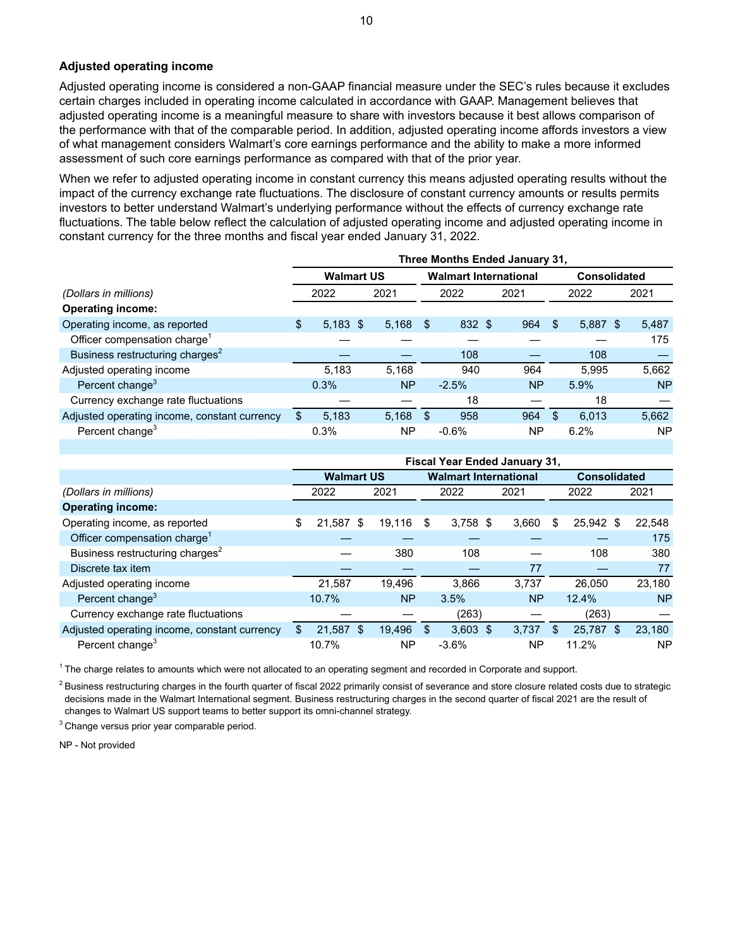#### **Adjusted operating income**

Adjusted operating income is considered a non-GAAP financial measure under the SEC's rules because it excludes certain charges included in operating income calculated in accordance with GAAP. Management believes that adjusted operating income is a meaningful measure to share with investors because it best allows comparison of the performance with that of the comparable period. In addition, adjusted operating income affords investors a view of what management considers Walmart's core earnings performance and the ability to make a more informed assessment of such core earnings performance as compared with that of the prior year.

When we refer to adjusted operating income in constant currency this means adjusted operating results without the impact of the currency exchange rate fluctuations. The disclosure of constant currency amounts or results permits investors to better understand Walmart's underlying performance without the effects of currency exchange rate fluctuations. The table below reflect the calculation of adjusted operating income and adjusted operating income in constant currency for the three months and fiscal year ended January 31, 2022.

|     |       |  |            |                   |         |  |           |                              |       | <b>Consolidated</b>            |            |
|-----|-------|--|------------|-------------------|---------|--|-----------|------------------------------|-------|--------------------------------|------------|
|     | 2022  |  | 2021       |                   | 2022    |  | 2021      | 2022                         |       |                                | 2021       |
|     |       |  |            |                   |         |  |           |                              |       |                                |            |
| \$. |       |  | 5,168      | - \$              |         |  | 964       | \$                           |       |                                | 5,487      |
|     |       |  |            |                   |         |  |           |                              |       |                                | 175        |
|     |       |  |            |                   | 108     |  |           |                              | 108   |                                |            |
|     | 5,183 |  | 5.168      |                   | 940     |  | 964       |                              | 5.995 |                                | 5.662      |
|     | 0.3%  |  | <b>NP</b>  |                   | $-2.5%$ |  | <b>NP</b> |                              | 5.9%  |                                | <b>NP</b>  |
|     |       |  |            |                   | 18      |  |           |                              | 18    |                                |            |
|     | 5.183 |  | 5,168      | -S                | 958     |  | 964       | \$                           | 6.013 |                                | 5,662      |
|     | 0.3%  |  | NΡ         |                   | $-0.6%$ |  | <b>NP</b> |                              | 6.2%  |                                | <b>NP</b>  |
|     |       |  | $5,183$ \$ | <b>Walmart US</b> |         |  | 832 \$    | <b>Walmart International</b> |       | Three Months Ended January 31, | $5,887$ \$ |

|                                              | <b>Fiscal Year Ended January 31,</b> |                   |      |           |      |                              |    |           |                     |           |    |           |
|----------------------------------------------|--------------------------------------|-------------------|------|-----------|------|------------------------------|----|-----------|---------------------|-----------|----|-----------|
|                                              |                                      | <b>Walmart US</b> |      |           |      | <b>Walmart International</b> |    |           | <b>Consolidated</b> |           |    |           |
| (Dollars in millions)                        |                                      | 2022              |      | 2021      |      | 2022                         |    | 2021      |                     | 2022      |    | 2021      |
| <b>Operating income:</b>                     |                                      |                   |      |           |      |                              |    |           |                     |           |    |           |
| Operating income, as reported                | \$                                   | 21.587 \$         |      | 19.116    | - \$ | $3,758$ \$                   |    | 3,660     | \$                  | 25.942 \$ |    | 22.548    |
| Officer compensation charge <sup>1</sup>     |                                      |                   |      |           |      |                              |    |           |                     |           |    | 175       |
| Business restructuring charges <sup>2</sup>  |                                      |                   |      | 380       |      | 108                          |    |           |                     | 108       |    | 380       |
| Discrete tax item                            |                                      |                   |      |           |      |                              |    | 77        |                     |           |    | 77        |
| Adjusted operating income                    |                                      | 21.587            |      | 19.496    |      | 3.866                        |    | 3.737     |                     | 26,050    |    | 23.180    |
| Percent change <sup>3</sup>                  |                                      | 10.7%             |      | <b>NP</b> |      | 3.5%                         |    | <b>NP</b> |                     | 12.4%     |    | <b>NP</b> |
| Currency exchange rate fluctuations          |                                      |                   |      |           |      | (263)                        |    |           |                     | (263)     |    |           |
| Adjusted operating income, constant currency |                                      | 21,587            | - \$ | 19,496    | \$.  | 3,603                        | \$ | 3.737     | \$                  | 25,787    | -S | 23,180    |
| Percent change <sup>3</sup>                  |                                      | 10.7%             |      | <b>NP</b> |      | $-3.6%$                      |    | <b>NP</b> |                     | 11.2%     |    | <b>NP</b> |

<sup>1</sup> The charge relates to amounts which were not allocated to an operating segment and recorded in Corporate and support.

 $<sup>2</sup>$  Business restructuring charges in the fourth quarter of fiscal 2022 primarily consist of severance and store closure related costs due to strategic</sup> decisions made in the Walmart International segment. Business restructuring charges in the second quarter of fiscal 2021 are the result of changes to Walmart US support teams to better support its omni-channel strategy.

<sup>3</sup> Change versus prior year comparable period.

NP - Not provided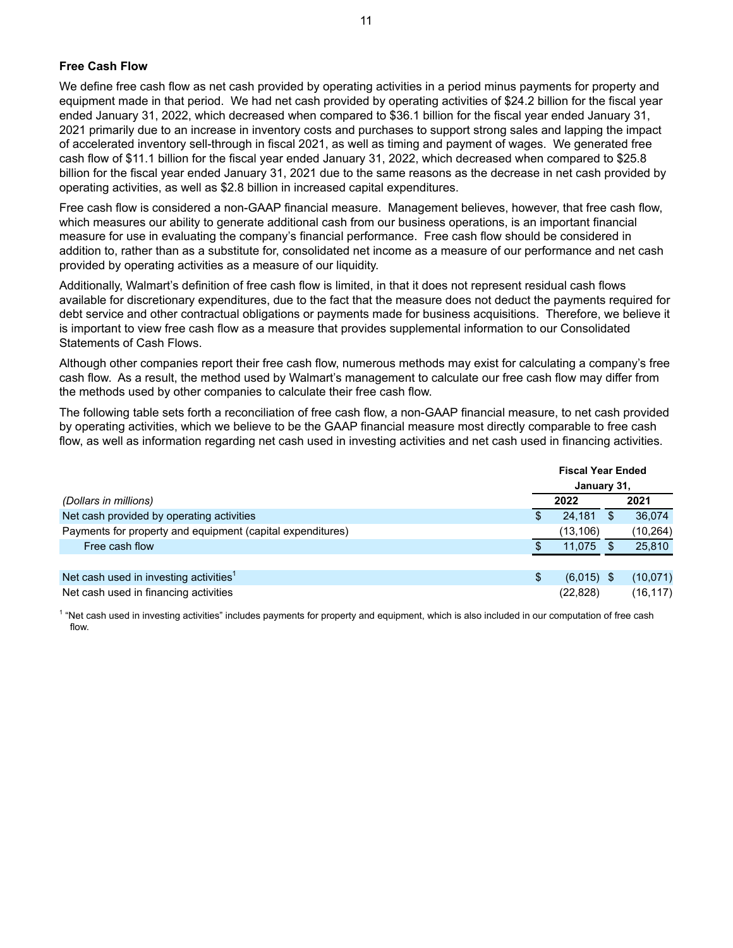### **Free Cash Flow**

We define free cash flow as net cash provided by operating activities in a period minus payments for property and equipment made in that period. We had net cash provided by operating activities of \$24.2 billion for the fiscal year ended January 31, 2022, which decreased when compared to \$36.1 billion for the fiscal year ended January 31, 2021 primarily due to an increase in inventory costs and purchases to support strong sales and lapping the impact of accelerated inventory sell-through in fiscal 2021, as well as timing and payment of wages. We generated free cash flow of \$11.1 billion for the fiscal year ended January 31, 2022, which decreased when compared to \$25.8 billion for the fiscal year ended January 31, 2021 due to the same reasons as the decrease in net cash provided by operating activities, as well as \$2.8 billion in increased capital expenditures.

Free cash flow is considered a non-GAAP financial measure. Management believes, however, that free cash flow, which measures our ability to generate additional cash from our business operations, is an important financial measure for use in evaluating the company's financial performance. Free cash flow should be considered in addition to, rather than as a substitute for, consolidated net income as a measure of our performance and net cash provided by operating activities as a measure of our liquidity.

Additionally, Walmart's definition of free cash flow is limited, in that it does not represent residual cash flows available for discretionary expenditures, due to the fact that the measure does not deduct the payments required for debt service and other contractual obligations or payments made for business acquisitions. Therefore, we believe it is important to view free cash flow as a measure that provides supplemental information to our Consolidated Statements of Cash Flows.

Although other companies report their free cash flow, numerous methods may exist for calculating a company's free cash flow. As a result, the method used by Walmart's management to calculate our free cash flow may differ from the methods used by other companies to calculate their free cash flow.

The following table sets forth a reconciliation of free cash flow, a non-GAAP financial measure, to net cash provided by operating activities, which we believe to be the GAAP financial measure most directly comparable to free cash flow, as well as information regarding net cash used in investing activities and net cash used in financing activities.

|                                                            | <b>Fiscal Year Ended</b> |  |           |  |  |  |  |
|------------------------------------------------------------|--------------------------|--|-----------|--|--|--|--|
|                                                            | January 31,              |  |           |  |  |  |  |
| (Dollars in millions)                                      | 2022                     |  | 2021      |  |  |  |  |
| Net cash provided by operating activities                  | \$<br>24.181             |  | 36,074    |  |  |  |  |
| Payments for property and equipment (capital expenditures) | (13, 106)                |  | (10,264)  |  |  |  |  |
| Free cash flow                                             | 11.075                   |  | 25,810    |  |  |  |  |
|                                                            |                          |  |           |  |  |  |  |
| Net cash used in investing activities <sup>1</sup>         | \$<br>$(6,015)$ \$       |  | (10, 071) |  |  |  |  |
| Net cash used in financing activities                      | (22, 828)                |  | (16,117)  |  |  |  |  |

<sup>1</sup> "Net cash used in investing activities" includes payments for property and equipment, which is also included in our computation of free cash flow.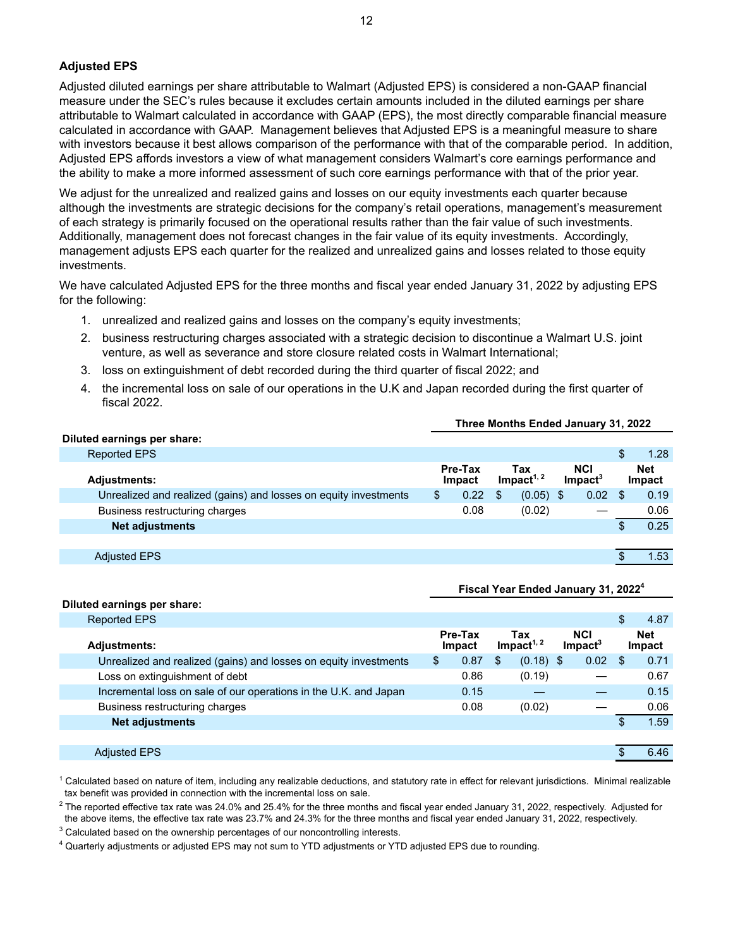### **Adjusted EPS**

Adjusted diluted earnings per share attributable to Walmart (Adjusted EPS) is considered a non-GAAP financial measure under the SEC's rules because it excludes certain amounts included in the diluted earnings per share attributable to Walmart calculated in accordance with GAAP (EPS), the most directly comparable financial measure calculated in accordance with GAAP. Management believes that Adjusted EPS is a meaningful measure to share with investors because it best allows comparison of the performance with that of the comparable period. In addition, Adjusted EPS affords investors a view of what management considers Walmart's core earnings performance and the ability to make a more informed assessment of such core earnings performance with that of the prior year.

We adjust for the unrealized and realized gains and losses on our equity investments each quarter because although the investments are strategic decisions for the company's retail operations, management's measurement of each strategy is primarily focused on the operational results rather than the fair value of such investments. Additionally, management does not forecast changes in the fair value of its equity investments. Accordingly, management adjusts EPS each quarter for the realized and unrealized gains and losses related to those equity investments.

We have calculated Adjusted EPS for the three months and fiscal year ended January 31, 2022 by adjusting EPS for the following:

- 1. unrealized and realized gains and losses on the company's equity investments;
- 2. business restructuring charges associated with a strategic decision to discontinue a Walmart U.S. joint venture, as well as severance and store closure related costs in Walmart International;
- 3. loss on extinguishment of debt recorded during the third quarter of fiscal 2022; and
- 4. the incremental loss on sale of our operations in the U.K and Japan recorded during the first quarter of fiscal 2022.

#### **Three Months Ended January 31, 2022**

#### **Diluted earnings per share:**

| <b>Reported EPS</b>                                              |                          |   |                               |                                      |      | \$            | 1.28 |
|------------------------------------------------------------------|--------------------------|---|-------------------------------|--------------------------------------|------|---------------|------|
| <b>Adjustments:</b>                                              | Pre-Tax<br><b>Impact</b> |   | Tax<br>Impact <sup>1, 2</sup> | <b>NCI</b><br>$Im$ pact <sup>3</sup> |      | Net<br>Impact |      |
| Unrealized and realized (gains) and losses on equity investments | \$<br>0.22               | S | $(0.05)$ \$                   |                                      | 0.02 |               | 0.19 |
| Business restructuring charges                                   | 0.08                     |   | (0.02)                        |                                      |      |               | 0.06 |
| Net adjustments                                                  |                          |   |                               |                                      |      |               | 0.25 |
|                                                                  |                          |   |                               |                                      |      |               |      |
| <b>Adjusted EPS</b>                                              |                          |   |                               |                                      |      |               | 1.53 |

#### **Fiscal Year Ended January 31, 2022<sup>4</sup>**

#### **Diluted earnings per share:**

| <b>Reported EPS</b>                                              |                          |                               |                                      | \$  | 4.87                        |
|------------------------------------------------------------------|--------------------------|-------------------------------|--------------------------------------|-----|-----------------------------|
| <b>Adjustments:</b>                                              | Pre-Tax<br><b>Impact</b> | Tax<br>Impact <sup>1, 2</sup> | <b>NCI</b><br>$Im$ pact <sup>3</sup> |     | <b>Net</b><br><b>Impact</b> |
| Unrealized and realized (gains) and losses on equity investments | 0.87<br>\$               | $(0.18)$ \$<br>S              | 0.02                                 | \$. | 0.71                        |
| Loss on extinguishment of debt                                   | 0.86                     | (0.19)                        |                                      |     | 0.67                        |
| Incremental loss on sale of our operations in the U.K. and Japan | 0.15                     |                               |                                      |     | 0.15                        |
| Business restructuring charges                                   | 0.08                     | (0.02)                        |                                      |     | 0.06                        |
| <b>Net adjustments</b>                                           |                          |                               |                                      |     | 1.59                        |
|                                                                  |                          |                               |                                      |     |                             |
| <b>Adjusted EPS</b>                                              |                          |                               |                                      |     | 6.46                        |

 $1$  Calculated based on nature of item, including any realizable deductions, and statutory rate in effect for relevant jurisdictions. Minimal realizable tax benefit was provided in connection with the incremental loss on sale.

 $2$  The reported effective tax rate was 24.0% and 25.4% for the three months and fiscal year ended January 31, 2022, respectively. Adjusted for the above items, the effective tax rate was 23.7% and 24.3% for the three months and fiscal year ended January 31, 2022, respectively.

 $3$  Calculated based on the ownership percentages of our noncontrolling interests.

<sup>4</sup> Quarterly adjustments or adjusted EPS may not sum to YTD adjustments or YTD adjusted EPS due to rounding.